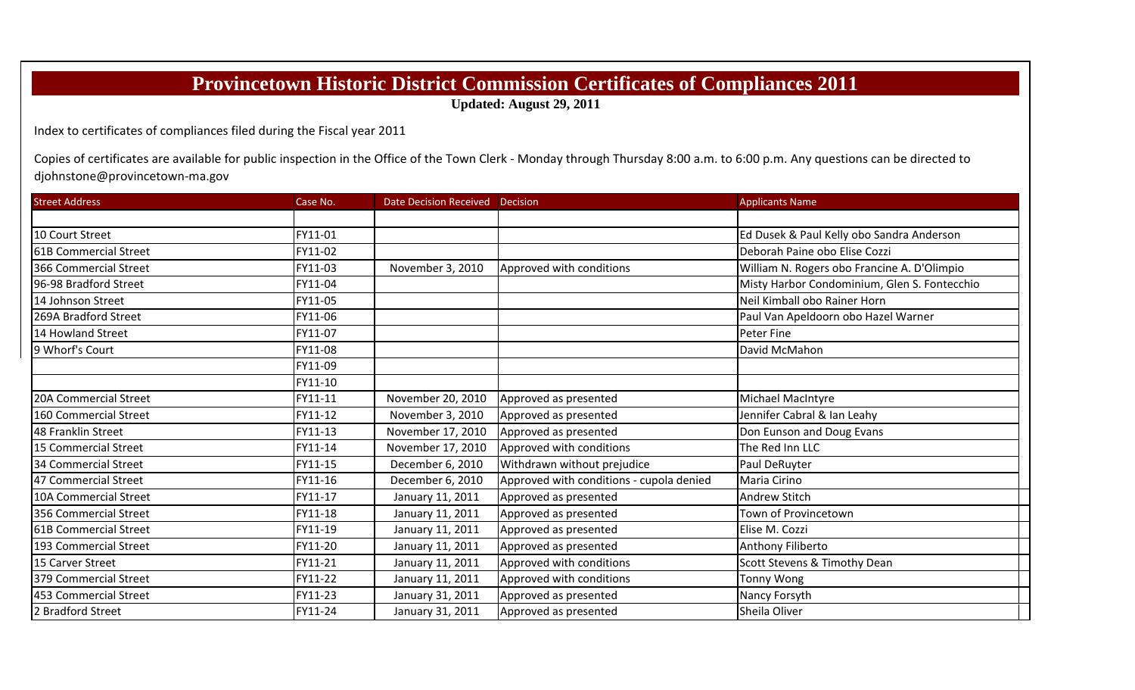## **Provincetown Historic District Commission Certificates of Compliances 2011**

**Updated: August 29, 2011**

Index to certificates of compliances filed during the Fiscal year 2011

Copies of certificates are available for public inspection in the Office of the Town Clerk ‐ Monday through Thursday 8:00 a.m. to 6:00 p.m. Any questions can be directed to djohnstone@provincetown‐ma.gov

| <b>Street Address</b> | Case No. | Date Decision Received Decision |                                          | <b>Applicants Name</b>                       |
|-----------------------|----------|---------------------------------|------------------------------------------|----------------------------------------------|
|                       |          |                                 |                                          |                                              |
| 10 Court Street       | FY11-01  |                                 |                                          | Ed Dusek & Paul Kelly obo Sandra Anderson    |
| 61B Commercial Street | FY11-02  |                                 |                                          | Deborah Paine obo Elise Cozzi                |
| 366 Commercial Street | FY11-03  | November 3, 2010                | Approved with conditions                 | William N. Rogers obo Francine A. D'Olimpio  |
| 96-98 Bradford Street | FY11-04  |                                 |                                          | Misty Harbor Condominium, Glen S. Fontecchio |
| 14 Johnson Street     | FY11-05  |                                 |                                          | Neil Kimball obo Rainer Horn                 |
| 269A Bradford Street  | FY11-06  |                                 |                                          | Paul Van Apeldoorn obo Hazel Warner          |
| 14 Howland Street     | FY11-07  |                                 |                                          | <b>Peter Fine</b>                            |
| 9 Whorf's Court       | FY11-08  |                                 |                                          | David McMahon                                |
|                       | FY11-09  |                                 |                                          |                                              |
|                       | FY11-10  |                                 |                                          |                                              |
| 20A Commercial Street | FY11-11  | November 20, 2010               | Approved as presented                    | Michael MacIntyre                            |
| 160 Commercial Street | FY11-12  | November 3, 2010                | Approved as presented                    | Jennifer Cabral & Ian Leahy                  |
| 48 Franklin Street    | FY11-13  | November 17, 2010               | Approved as presented                    | Don Eunson and Doug Evans                    |
| 15 Commercial Street  | FY11-14  | November 17, 2010               | Approved with conditions                 | The Red Inn LLC                              |
| 34 Commercial Street  | FY11-15  | December 6, 2010                | Withdrawn without prejudice              | Paul DeRuyter                                |
| 47 Commercial Street  | FY11-16  | December 6, 2010                | Approved with conditions - cupola denied | Maria Cirino                                 |
| 10A Commercial Street | FY11-17  | January 11, 2011                | Approved as presented                    | <b>Andrew Stitch</b>                         |
| 356 Commercial Street | FY11-18  | January 11, 2011                | Approved as presented                    | Town of Provincetown                         |
| 61B Commercial Street | FY11-19  | January 11, 2011                | Approved as presented                    | Elise M. Cozzi                               |
| 193 Commercial Street | FY11-20  | January 11, 2011                | Approved as presented                    | Anthony Filiberto                            |
| 15 Carver Street      | FY11-21  | January 11, 2011                | Approved with conditions                 | Scott Stevens & Timothy Dean                 |
| 379 Commercial Street | FY11-22  | January 11, 2011                | Approved with conditions                 | Tonny Wong                                   |
| 453 Commercial Street | FY11-23  | January 31, 2011                | Approved as presented                    | Nancy Forsyth                                |
| 2 Bradford Street     | FY11-24  | January 31, 2011                | Approved as presented                    | Sheila Oliver                                |